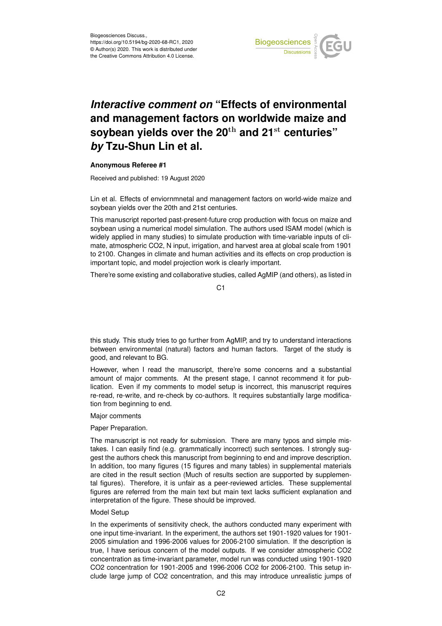

# *Interactive comment on* **"Effects of environmental and management factors on worldwide maize and soybean yields over the 20**th **and 21**st **centuries"** *by* **Tzu-Shun Lin et al.**

### **Anonymous Referee #1**

Received and published: 19 August 2020

Lin et al. Effects of enviornmnetal and management factors on world-wide maize and soybean yields over the 20th and 21st centuries.

This manuscript reported past-present-future crop production with focus on maize and soybean using a numerical model simulation. The authors used ISAM model (which is widely applied in many studies) to simulate production with time-variable inputs of climate, atmospheric CO2, N input, irrigation, and harvest area at global scale from 1901 to 2100. Changes in climate and human activities and its effects on crop production is important topic, and model projection work is clearly important.

There're some existing and collaborative studies, called AgMIP (and others), as listed in

C<sub>1</sub>

this study. This study tries to go further from AgMIP, and try to understand interactions between environmental (natural) factors and human factors. Target of the study is good, and relevant to BG.

However, when I read the manuscript, there're some concerns and a substantial amount of major comments. At the present stage, I cannot recommend it for publication. Even if my comments to model setup is incorrect, this manuscript requires re-read, re-write, and re-check by co-authors. It requires substantially large modification from beginning to end.

### Major comments

### Paper Preparation.

The manuscript is not ready for submission. There are many typos and simple mistakes. I can easily find (e.g. grammatically incorrect) such sentences. I strongly suggest the authors check this manuscript from beginning to end and improve description. In addition, too many figures (15 figures and many tables) in supplemental materials are cited in the result section (Much of results section are supported by supplemental figures). Therefore, it is unfair as a peer-reviewed articles. These supplemental figures are referred from the main text but main text lacks sufficient explanation and interpretation of the figure. These should be improved.

### Model Setup

In the experiments of sensitivity check, the authors conducted many experiment with one input time-invariant. In the experiment, the authors set 1901-1920 values for 1901- 2005 simulation and 1996-2006 values for 2006-2100 simulation. If the description is true, I have serious concern of the model outputs. If we consider atmospheric CO2 concentration as time-invariant parameter, model run was conducted using 1901-1920 CO2 concentration for 1901-2005 and 1996-2006 CO2 for 2006-2100. This setup include large jump of CO2 concentration, and this may introduce unrealistic jumps of